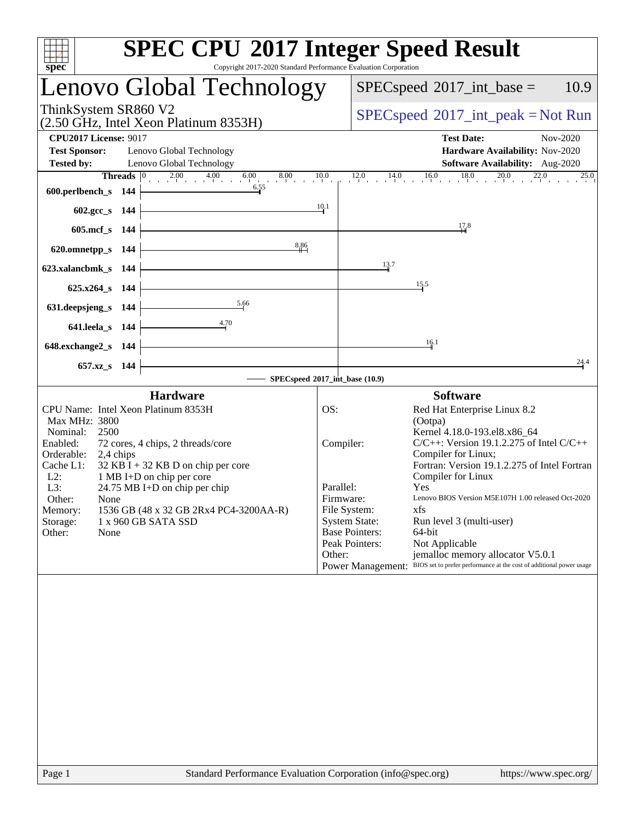| spec <sup>®</sup>                                                                                                                                                                                                                                                                                                                                                                                                    | <b>SPEC CPU®2017 Integer Speed Result</b><br>Copyright 2017-2020 Standard Performance Evaluation Corporation                                                                                                                                                                                                                                                                                                                                                                                                                                                                                                               |
|----------------------------------------------------------------------------------------------------------------------------------------------------------------------------------------------------------------------------------------------------------------------------------------------------------------------------------------------------------------------------------------------------------------------|----------------------------------------------------------------------------------------------------------------------------------------------------------------------------------------------------------------------------------------------------------------------------------------------------------------------------------------------------------------------------------------------------------------------------------------------------------------------------------------------------------------------------------------------------------------------------------------------------------------------------|
| Lenovo Global Technology                                                                                                                                                                                                                                                                                                                                                                                             | $SPEC speed^{\circ}2017\_int\_base =$<br>10.9                                                                                                                                                                                                                                                                                                                                                                                                                                                                                                                                                                              |
| ThinkSystem SR860 V2<br>(2.50 GHz, Intel Xeon Platinum 8353H)                                                                                                                                                                                                                                                                                                                                                        | $SPEC speed^{\circ}2017\_int\_peak = Not Run$                                                                                                                                                                                                                                                                                                                                                                                                                                                                                                                                                                              |
| <b>CPU2017 License: 9017</b><br><b>Test Sponsor:</b><br>Lenovo Global Technology<br><b>Tested by:</b><br>Lenovo Global Technology                                                                                                                                                                                                                                                                                    | <b>Test Date:</b><br>Nov-2020<br>Hardware Availability: Nov-2020<br>Software Availability: Aug-2020                                                                                                                                                                                                                                                                                                                                                                                                                                                                                                                        |
| 600.perlbench_s $144$                                                                                                                                                                                                                                                                                                                                                                                                | <b>Threads</b> $\begin{bmatrix} 0 & 2.00 & 4.00 & 6.00 & 8.00 & 10.0 & 12.0 & 14.0 & 16.0 & 18.0 & 20.0 & 22.0 \ 1 \text{ s} & 144 & 6.55 & 14.0 & 16.0 & 18.0 & 20.0 & 22.0 \end{bmatrix}$<br>25.0                                                                                                                                                                                                                                                                                                                                                                                                                        |
| $602.\text{gcc}\,$ s 144<br>$605 \text{.mcf}\_$ s 144                                                                                                                                                                                                                                                                                                                                                                | 10.1<br>17.8                                                                                                                                                                                                                                                                                                                                                                                                                                                                                                                                                                                                               |
| 8,86<br>620.omnetpp_s $144$                                                                                                                                                                                                                                                                                                                                                                                          | 13.7                                                                                                                                                                                                                                                                                                                                                                                                                                                                                                                                                                                                                       |
| <u> 1980 - Johann Barn, amerikansk politiker (</u><br>623.xalancbmk_s 144 $\vert$<br>$625.x264_s$ 144                                                                                                                                                                                                                                                                                                                | 15.5                                                                                                                                                                                                                                                                                                                                                                                                                                                                                                                                                                                                                       |
| 5.66<br>4.70<br>641.leela_s $144$ $-$                                                                                                                                                                                                                                                                                                                                                                                |                                                                                                                                                                                                                                                                                                                                                                                                                                                                                                                                                                                                                            |
| <u> 1989 - Johann Barn, mars ann an t-Amhain Aonaich an t-Aonaich an t-Aonaich ann an t-Aonaich ann an t-Aonaich</u><br>$648$ .exchange2_s 144                                                                                                                                                                                                                                                                       | 16.1                                                                                                                                                                                                                                                                                                                                                                                                                                                                                                                                                                                                                       |
| 657.xz_s 144                                                                                                                                                                                                                                                                                                                                                                                                         | 24.4<br>- SPECspeed®2017_int_base (10.9)                                                                                                                                                                                                                                                                                                                                                                                                                                                                                                                                                                                   |
| <b>Hardware</b>                                                                                                                                                                                                                                                                                                                                                                                                      | <b>Software</b>                                                                                                                                                                                                                                                                                                                                                                                                                                                                                                                                                                                                            |
| CPU Name: Intel Xeon Platinum 8353H<br>Max MHz: 3800<br>2500<br>Nominal:<br>Enabled:<br>72 cores, 4 chips, 2 threads/core<br>Orderable:<br>2,4 chips<br>$32$ KB I + 32 KB D on chip per core<br>Cache L1:<br>$L2$ :<br>1 MB I+D on chip per core<br>L3:<br>24.75 MB I+D on chip per chip<br>Other:<br>None<br>1536 GB (48 x 32 GB 2Rx4 PC4-3200AA-R)<br>Memory:<br>1 x 960 GB SATA SSD<br>Storage:<br>Other:<br>None | OS:<br>Red Hat Enterprise Linux 8.2<br>(Ootpa)<br>Kernel 4.18.0-193.el8.x86_64<br>$C/C++$ : Version 19.1.2.275 of Intel $C/C++$<br>Compiler:<br>Compiler for Linux;<br>Fortran: Version 19.1.2.275 of Intel Fortran<br>Compiler for Linux<br>Parallel:<br>Yes<br>Lenovo BIOS Version M5E107H 1.00 released Oct-2020<br>Firmware:<br>File System:<br>xfs<br><b>System State:</b><br>Run level 3 (multi-user)<br><b>Base Pointers:</b><br>64-bit<br>Peak Pointers:<br>Not Applicable<br>Other:<br>jemalloc memory allocator V5.0.1<br>Power Management: BIOS set to prefer performance at the cost of additional power usage |
|                                                                                                                                                                                                                                                                                                                                                                                                                      |                                                                                                                                                                                                                                                                                                                                                                                                                                                                                                                                                                                                                            |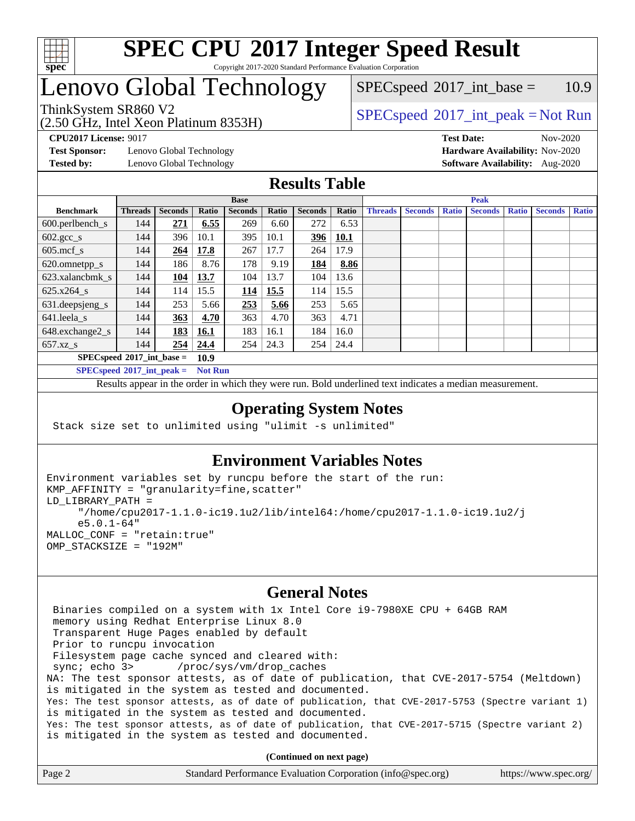

# Lenovo Global Technology

(2.50 GHz, Intel Xeon Platinum 8353H)

 $SPEC speed^{\circ}2017\_int\_base = 10.9$ 

## ThinkSystem SR860 V2  $\begin{array}{c} \text{SPEC speed} \textdegree 2017\_int\_peak = Not Run \end{array}$

**[Test Sponsor:](http://www.spec.org/auto/cpu2017/Docs/result-fields.html#TestSponsor)** Lenovo Global Technology **[Hardware Availability:](http://www.spec.org/auto/cpu2017/Docs/result-fields.html#HardwareAvailability)** Nov-2020

**[CPU2017 License:](http://www.spec.org/auto/cpu2017/Docs/result-fields.html#CPU2017License)** 9017 **[Test Date:](http://www.spec.org/auto/cpu2017/Docs/result-fields.html#TestDate)** Nov-2020 **[Tested by:](http://www.spec.org/auto/cpu2017/Docs/result-fields.html#Testedby)** Lenovo Global Technology **[Software Availability:](http://www.spec.org/auto/cpu2017/Docs/result-fields.html#SoftwareAvailability)** Aug-2020

### **[Results Table](http://www.spec.org/auto/cpu2017/Docs/result-fields.html#ResultsTable)**

|                               | <b>Base</b>                                |                |       |                |       | <b>Peak</b>    |             |                |                |              |                |              |                |              |
|-------------------------------|--------------------------------------------|----------------|-------|----------------|-------|----------------|-------------|----------------|----------------|--------------|----------------|--------------|----------------|--------------|
| <b>Benchmark</b>              | <b>Threads</b>                             | <b>Seconds</b> | Ratio | <b>Seconds</b> | Ratio | <b>Seconds</b> | Ratio       | <b>Threads</b> | <b>Seconds</b> | <b>Ratio</b> | <b>Seconds</b> | <b>Ratio</b> | <b>Seconds</b> | <b>Ratio</b> |
| $600.$ perlbench $\mathsf{S}$ | 144                                        | 271            | 6.55  | 269            | 6.60  | 272            | 6.53        |                |                |              |                |              |                |              |
| $602.\text{gcc}\_\text{s}$    | 144                                        | 396            | 10.1  | 395            | 10.1  | 396            | <b>10.1</b> |                |                |              |                |              |                |              |
| $605$ .mcf s                  | 144                                        | 264            | 17.8  | 267            | 17.7  | 264            | 17.9        |                |                |              |                |              |                |              |
| 620.omnetpp_s                 | 144                                        | 186            | 8.76  | 178            | 9.19  | 184            | 8.86        |                |                |              |                |              |                |              |
| 623.xalancbmk s               | 144                                        | 104            | 13.7  | 104            | 13.7  | 104            | 13.6        |                |                |              |                |              |                |              |
| 625.x264 s                    | 144                                        | 114            | 15.5  | <u>114</u>     | 15.5  | 114            | 15.5        |                |                |              |                |              |                |              |
| 631.deepsjeng_s               | 144                                        | 253            | 5.66  | 253            | 5.66  | 253            | 5.65        |                |                |              |                |              |                |              |
| 641.leela s                   | 144                                        | 363            | 4.70  | 363            | 4.70  | 363            | 4.71        |                |                |              |                |              |                |              |
| 648.exchange2_s               | 144                                        | 183            | 16.1  | 183            | 16.1  | 184            | 16.0        |                |                |              |                |              |                |              |
| $657.xz$ <sub>S</sub>         | 144                                        | 254            | 24.4  | 254            | 24.3  | 254            | 24.4        |                |                |              |                |              |                |              |
|                               | $SPECspeed^{\circ}2017$ int base =<br>10.9 |                |       |                |       |                |             |                |                |              |                |              |                |              |

**[SPECspeed](http://www.spec.org/auto/cpu2017/Docs/result-fields.html#SPECspeed2017intpeak)[2017\\_int\\_peak =](http://www.spec.org/auto/cpu2017/Docs/result-fields.html#SPECspeed2017intpeak) Not Run**

Results appear in the [order in which they were run.](http://www.spec.org/auto/cpu2017/Docs/result-fields.html#RunOrder) Bold underlined text [indicates a median measurement.](http://www.spec.org/auto/cpu2017/Docs/result-fields.html#Median)

### **[Operating System Notes](http://www.spec.org/auto/cpu2017/Docs/result-fields.html#OperatingSystemNotes)**

Stack size set to unlimited using "ulimit -s unlimited"

### **[Environment Variables Notes](http://www.spec.org/auto/cpu2017/Docs/result-fields.html#EnvironmentVariablesNotes)**

```
Environment variables set by runcpu before the start of the run:
KMP_AFFINITY = "granularity=fine,scatter"
LD_LIBRARY_PATH =
      "/home/cpu2017-1.1.0-ic19.1u2/lib/intel64:/home/cpu2017-1.1.0-ic19.1u2/j
      e5.0.1-64"
MALLOC_CONF = "retain:true"
OMP_STACKSIZE = "192M"
```
### **[General Notes](http://www.spec.org/auto/cpu2017/Docs/result-fields.html#GeneralNotes)**

 Binaries compiled on a system with 1x Intel Core i9-7980XE CPU + 64GB RAM memory using Redhat Enterprise Linux 8.0 Transparent Huge Pages enabled by default Prior to runcpu invocation Filesystem page cache synced and cleared with: sync; echo 3> /proc/sys/vm/drop\_caches NA: The test sponsor attests, as of date of publication, that CVE-2017-5754 (Meltdown) is mitigated in the system as tested and documented. Yes: The test sponsor attests, as of date of publication, that CVE-2017-5753 (Spectre variant 1) is mitigated in the system as tested and documented. Yes: The test sponsor attests, as of date of publication, that CVE-2017-5715 (Spectre variant 2) is mitigated in the system as tested and documented.

**(Continued on next page)**

| Page 2 | Standard Performance Evaluation Corporation (info@spec.org) | https://www.spec.org/ |
|--------|-------------------------------------------------------------|-----------------------|
|--------|-------------------------------------------------------------|-----------------------|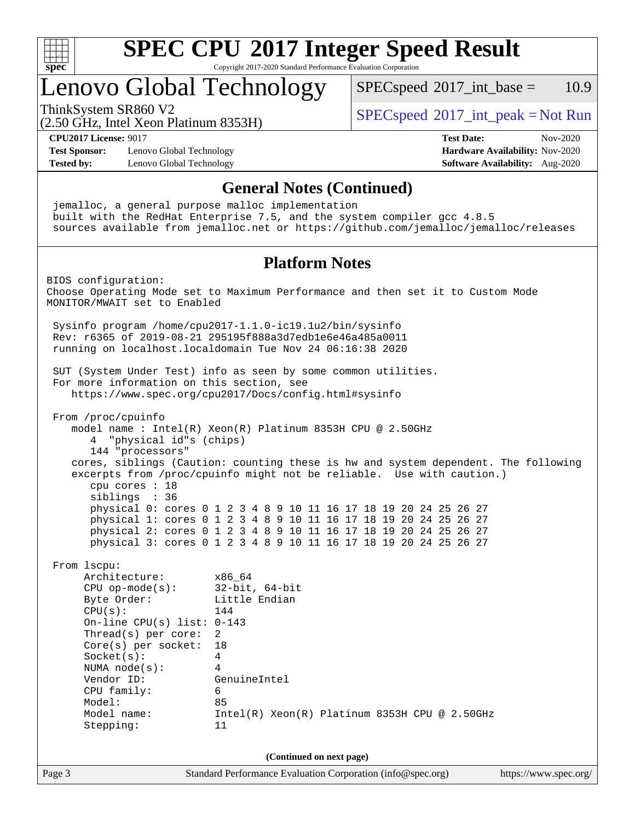

# Lenovo Global Technology

 $SPECspeed^{\circ}2017\_int\_base = 10.9$  $SPECspeed^{\circ}2017\_int\_base = 10.9$ 

(2.50 GHz, Intel Xeon Platinum 8353H)

ThinkSystem SR860 V2  $\begin{array}{c} \text{SPEC speed} \textdegree 2017\_int\_peak = Not Run \end{array}$ 

**[CPU2017 License:](http://www.spec.org/auto/cpu2017/Docs/result-fields.html#CPU2017License)** 9017 **[Test Date:](http://www.spec.org/auto/cpu2017/Docs/result-fields.html#TestDate)** Nov-2020

**[Test Sponsor:](http://www.spec.org/auto/cpu2017/Docs/result-fields.html#TestSponsor)** Lenovo Global Technology **[Hardware Availability:](http://www.spec.org/auto/cpu2017/Docs/result-fields.html#HardwareAvailability)** Nov-2020 **[Tested by:](http://www.spec.org/auto/cpu2017/Docs/result-fields.html#Testedby)** Lenovo Global Technology **[Software Availability:](http://www.spec.org/auto/cpu2017/Docs/result-fields.html#SoftwareAvailability)** Aug-2020

Page 3 Standard Performance Evaluation Corporation [\(info@spec.org\)](mailto:info@spec.org) <https://www.spec.org/> **[General Notes \(Continued\)](http://www.spec.org/auto/cpu2017/Docs/result-fields.html#GeneralNotes)** jemalloc, a general purpose malloc implementation built with the RedHat Enterprise 7.5, and the system compiler gcc 4.8.5 sources available from jemalloc.net or <https://github.com/jemalloc/jemalloc/releases> **[Platform Notes](http://www.spec.org/auto/cpu2017/Docs/result-fields.html#PlatformNotes)** BIOS configuration: Choose Operating Mode set to Maximum Performance and then set it to Custom Mode MONITOR/MWAIT set to Enabled Sysinfo program /home/cpu2017-1.1.0-ic19.1u2/bin/sysinfo Rev: r6365 of 2019-08-21 295195f888a3d7edb1e6e46a485a0011 running on localhost.localdomain Tue Nov 24 06:16:38 2020 SUT (System Under Test) info as seen by some common utilities. For more information on this section, see <https://www.spec.org/cpu2017/Docs/config.html#sysinfo> From /proc/cpuinfo model name : Intel(R) Xeon(R) Platinum 8353H CPU @ 2.50GHz 4 "physical id"s (chips) 144 "processors" cores, siblings (Caution: counting these is hw and system dependent. The following excerpts from /proc/cpuinfo might not be reliable. Use with caution.) cpu cores : 18 siblings : 36 physical 0: cores 0 1 2 3 4 8 9 10 11 16 17 18 19 20 24 25 26 27 physical 1: cores 0 1 2 3 4 8 9 10 11 16 17 18 19 20 24 25 26 27 physical 2: cores 0 1 2 3 4 8 9 10 11 16 17 18 19 20 24 25 26 27 physical 3: cores 0 1 2 3 4 8 9 10 11 16 17 18 19 20 24 25 26 27 From lscpu: Architecture: x86\_64 CPU op-mode(s): 32-bit, 64-bit Byte Order: Little Endian  $CPU(s):$  144 On-line CPU(s) list: 0-143 Thread(s) per core: 2 Core(s) per socket: 18 Socket(s): 4 NUMA node(s): 4 Vendor ID: GenuineIntel CPU family: 6 Model: 85 Model name: Intel(R) Xeon(R) Platinum 8353H CPU @ 2.50GHz Stepping: 11 **(Continued on next page)**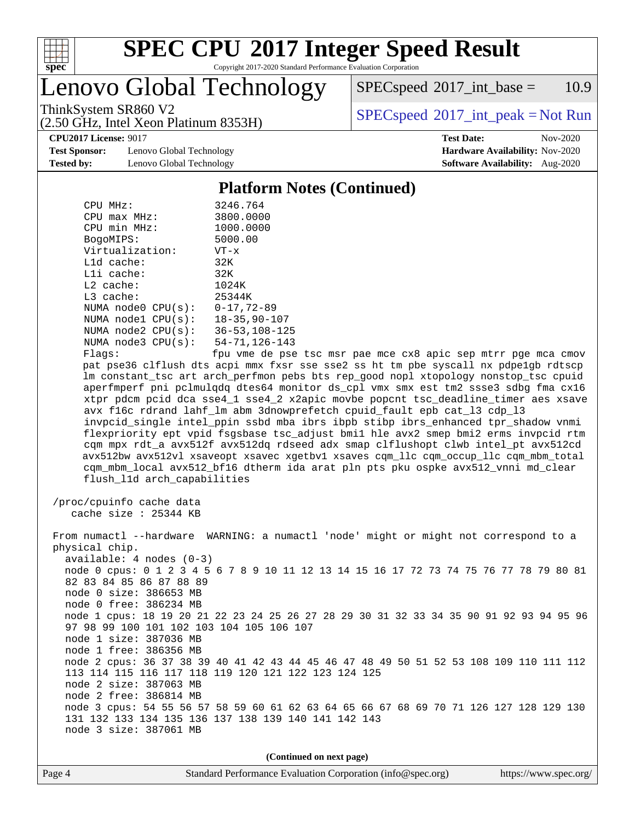

Lenovo Global Technology

 $SPEC speed^{\circ}2017\_int\_base = 10.9$ 

(2.50 GHz, Intel Xeon Platinum 8353H)

ThinkSystem SR860 V2  $\begin{array}{c} \text{SPEC speed} \textdegree 2017\_int\_peak = Not Run \end{array}$ 

**[Test Sponsor:](http://www.spec.org/auto/cpu2017/Docs/result-fields.html#TestSponsor)** Lenovo Global Technology **[Hardware Availability:](http://www.spec.org/auto/cpu2017/Docs/result-fields.html#HardwareAvailability)** Nov-2020 **[Tested by:](http://www.spec.org/auto/cpu2017/Docs/result-fields.html#Testedby)** Lenovo Global Technology **[Software Availability:](http://www.spec.org/auto/cpu2017/Docs/result-fields.html#SoftwareAvailability)** Aug-2020

**[CPU2017 License:](http://www.spec.org/auto/cpu2017/Docs/result-fields.html#CPU2017License)** 9017 **[Test Date:](http://www.spec.org/auto/cpu2017/Docs/result-fields.html#TestDate)** Nov-2020

### **[Platform Notes \(Continued\)](http://www.spec.org/auto/cpu2017/Docs/result-fields.html#PlatformNotes)**

| CPU MHz:           | 3246.764             |
|--------------------|----------------------|
| $CPU$ max $MHz$ :  | 3800.0000            |
| CPU min MHz:       | 1000.0000            |
| BogoMIPS:          | 5000.00              |
| Virtualization:    | $VT - x$             |
| $L1d$ cache:       | 32K                  |
| $L1i$ cache:       | 32K                  |
| $L2$ cache:        | 1024K                |
| $L3$ cache:        | 25344K               |
| NUMA node0 CPU(s): | $0 - 17, 72 - 89$    |
| NUMA node1 CPU(s): | $18 - 35, 90 - 107$  |
| NUMA node2 CPU(s): | $36 - 53, 108 - 125$ |
| NUMA node3 CPU(s): | 54-71,126-143        |
| $F1$ ane:          | fnu vme de nee       |

Flags: fpu vme de pse tsc msr pae mce cx8 apic sep mtrr pge mca cmov pat pse36 clflush dts acpi mmx fxsr sse sse2 ss ht tm pbe syscall nx pdpe1gb rdtscp lm constant\_tsc art arch\_perfmon pebs bts rep\_good nopl xtopology nonstop\_tsc cpuid aperfmperf pni pclmulqdq dtes64 monitor ds\_cpl vmx smx est tm2 ssse3 sdbg fma cx16 xtpr pdcm pcid dca sse4\_1 sse4\_2 x2apic movbe popcnt tsc\_deadline\_timer aes xsave avx f16c rdrand lahf\_lm abm 3dnowprefetch cpuid\_fault epb cat\_l3 cdp\_l3 invpcid\_single intel\_ppin ssbd mba ibrs ibpb stibp ibrs\_enhanced tpr\_shadow vnmi flexpriority ept vpid fsgsbase tsc\_adjust bmi1 hle avx2 smep bmi2 erms invpcid rtm cqm mpx rdt\_a avx512f avx512dq rdseed adx smap clflushopt clwb intel\_pt avx512cd avx512bw avx512vl xsaveopt xsavec xgetbv1 xsaves cqm\_llc cqm\_occup\_llc cqm\_mbm\_total cqm\_mbm\_local avx512\_bf16 dtherm ida arat pln pts pku ospke avx512\_vnni md\_clear flush\_l1d arch\_capabilities

 /proc/cpuinfo cache data cache size : 25344 KB

 From numactl --hardware WARNING: a numactl 'node' might or might not correspond to a physical chip. available: 4 nodes (0-3) node 0 cpus: 0 1 2 3 4 5 6 7 8 9 10 11 12 13 14 15 16 17 72 73 74 75 76 77 78 79 80 81 82 83 84 85 86 87 88 89 node 0 size: 386653 MB node 0 free: 386234 MB node 1 cpus: 18 19 20 21 22 23 24 25 26 27 28 29 30 31 32 33 34 35 90 91 92 93 94 95 96 97 98 99 100 101 102 103 104 105 106 107 node 1 size: 387036 MB node 1 free: 386356 MB node 2 cpus: 36 37 38 39 40 41 42 43 44 45 46 47 48 49 50 51 52 53 108 109 110 111 112 113 114 115 116 117 118 119 120 121 122 123 124 125 node 2 size: 387063 MB node 2 free: 386814 MB node 3 cpus: 54 55 56 57 58 59 60 61 62 63 64 65 66 67 68 69 70 71 126 127 128 129 130 131 132 133 134 135 136 137 138 139 140 141 142 143 node 3 size: 387061 MB

**(Continued on next page)**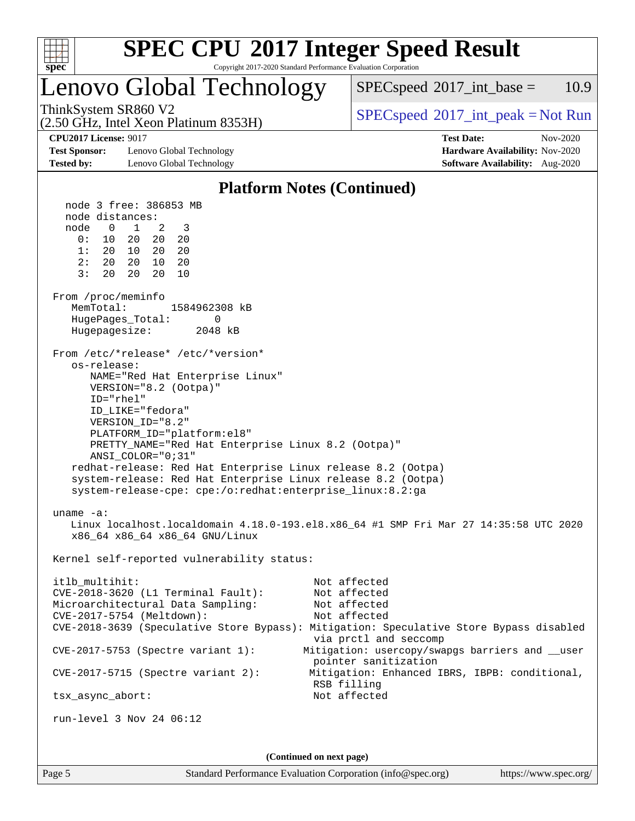

# **[SPEC CPU](http://www.spec.org/auto/cpu2017/Docs/result-fields.html#SPECCPU2017IntegerSpeedResult)[2017 Integer Speed Result](http://www.spec.org/auto/cpu2017/Docs/result-fields.html#SPECCPU2017IntegerSpeedResult)**

Copyright 2017-2020 Standard Performance Evaluation Corporation

# Lenovo Global Technology

 $SPECspeed^{\circ}2017\_int\_base = 10.9$  $SPECspeed^{\circ}2017\_int\_base = 10.9$ 

(2.50 GHz, Intel Xeon Platinum 8353H)

ThinkSystem SR860 V2  $\begin{array}{c} \text{SPEC speed} \textdegree 2017\_int\_peak = Not Run \end{array}$ 

**[Test Sponsor:](http://www.spec.org/auto/cpu2017/Docs/result-fields.html#TestSponsor)** Lenovo Global Technology **[Hardware Availability:](http://www.spec.org/auto/cpu2017/Docs/result-fields.html#HardwareAvailability)** Nov-2020 **[Tested by:](http://www.spec.org/auto/cpu2017/Docs/result-fields.html#Testedby)** Lenovo Global Technology **[Software Availability:](http://www.spec.org/auto/cpu2017/Docs/result-fields.html#SoftwareAvailability)** Aug-2020

**[CPU2017 License:](http://www.spec.org/auto/cpu2017/Docs/result-fields.html#CPU2017License)** 9017 **[Test Date:](http://www.spec.org/auto/cpu2017/Docs/result-fields.html#TestDate)** Nov-2020

### **[Platform Notes \(Continued\)](http://www.spec.org/auto/cpu2017/Docs/result-fields.html#PlatformNotes)**

 node 3 free: 386853 MB node distances: node 0 1 2 3 0: 10 20 20 20 1: 20 10 20 20 2: 20 20 10 20 3: 20 20 20 10 From /proc/meminfo MemTotal: 1584962308 kB HugePages\_Total: 0 Hugepagesize: 2048 kB From /etc/\*release\* /etc/\*version\* os-release: NAME="Red Hat Enterprise Linux" VERSION="8.2 (Ootpa)" ID="rhel" ID\_LIKE="fedora" VERSION\_ID="8.2" PLATFORM\_ID="platform:el8" PRETTY\_NAME="Red Hat Enterprise Linux 8.2 (Ootpa)" ANSI\_COLOR="0;31" redhat-release: Red Hat Enterprise Linux release 8.2 (Ootpa) system-release: Red Hat Enterprise Linux release 8.2 (Ootpa) system-release-cpe: cpe:/o:redhat:enterprise\_linux:8.2:ga uname -a: Linux localhost.localdomain 4.18.0-193.el8.x86\_64 #1 SMP Fri Mar 27 14:35:58 UTC 2020 x86\_64 x86\_64 x86\_64 GNU/Linux Kernel self-reported vulnerability status: itlb\_multihit: Not affected CVE-2018-3620 (L1 Terminal Fault): Not affected Microarchitectural Data Sampling: Not affected CVE-2017-5754 (Meltdown): Not affected CVE-2018-3639 (Speculative Store Bypass): Mitigation: Speculative Store Bypass disabled via prctl and seccomp CVE-2017-5753 (Spectre variant 1): Mitigation: usercopy/swapgs barriers and \_\_user pointer sanitization CVE-2017-5715 (Spectre variant 2): Mitigation: Enhanced IBRS, IBPB: conditional, RSB filling tsx\_async\_abort: Not affected run-level 3 Nov 24 06:12 **(Continued on next page)**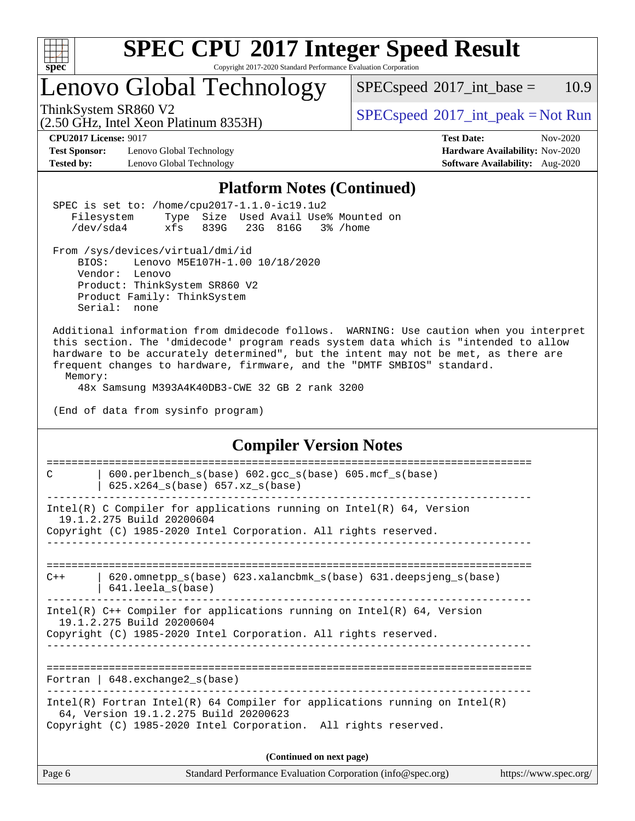

# **[SPEC CPU](http://www.spec.org/auto/cpu2017/Docs/result-fields.html#SPECCPU2017IntegerSpeedResult)[2017 Integer Speed Result](http://www.spec.org/auto/cpu2017/Docs/result-fields.html#SPECCPU2017IntegerSpeedResult)**

Copyright 2017-2020 Standard Performance Evaluation Corporation

# Lenovo Global Technology

(2.50 GHz, Intel Xeon Platinum 8353H)

 $SPEC speed^{\circ}2017\_int\_base = 10.9$ 

ThinkSystem SR860 V2<br>  $(2.50 \text{ GHz, Intel Yoon Plutium } 8353H)$  [SPECspeed](http://www.spec.org/auto/cpu2017/Docs/result-fields.html#SPECspeed2017intpeak)<sup>®</sup>[2017\\_int\\_peak = N](http://www.spec.org/auto/cpu2017/Docs/result-fields.html#SPECspeed2017intpeak)ot Run

**[Test Sponsor:](http://www.spec.org/auto/cpu2017/Docs/result-fields.html#TestSponsor)** Lenovo Global Technology **[Hardware Availability:](http://www.spec.org/auto/cpu2017/Docs/result-fields.html#HardwareAvailability)** Nov-2020 **[Tested by:](http://www.spec.org/auto/cpu2017/Docs/result-fields.html#Testedby)** Lenovo Global Technology **[Software Availability:](http://www.spec.org/auto/cpu2017/Docs/result-fields.html#SoftwareAvailability)** Aug-2020

**[CPU2017 License:](http://www.spec.org/auto/cpu2017/Docs/result-fields.html#CPU2017License)** 9017 **[Test Date:](http://www.spec.org/auto/cpu2017/Docs/result-fields.html#TestDate)** Nov-2020

### **[Platform Notes \(Continued\)](http://www.spec.org/auto/cpu2017/Docs/result-fields.html#PlatformNotes)**

|         |                                                                                                                                                                                                                                                                                                                                                |  |                                 | I Iauol III Potes (Continueu)                               |                             |  |                       |
|---------|------------------------------------------------------------------------------------------------------------------------------------------------------------------------------------------------------------------------------------------------------------------------------------------------------------------------------------------------|--|---------------------------------|-------------------------------------------------------------|-----------------------------|--|-----------------------|
|         | SPEC is set to: /home/cpu2017-1.1.0-ic19.1u2<br>Filesystem Type Size Used Avail Use% Mounted on<br>/dev/sda4 xfs 839G 23G 816G 3% /home                                                                                                                                                                                                        |  |                                 |                                                             |                             |  |                       |
|         | From /sys/devices/virtual/dmi/id<br>BIOS: Lenovo M5E107H-1.00 10/18/2020<br>Vendor: Lenovo<br>Product: ThinkSystem SR860 V2<br>Product Family: ThinkSystem<br>Serial: none                                                                                                                                                                     |  |                                 |                                                             |                             |  |                       |
| Memory: | Additional information from dmidecode follows. WARNING: Use caution when you interpret<br>this section. The 'dmidecode' program reads system data which is "intended to allow<br>hardware to be accurately determined", but the intent may not be met, as there are<br>frequent changes to hardware, firmware, and the "DMTF SMBIOS" standard. |  |                                 |                                                             |                             |  |                       |
|         | 48x Samsung M393A4K40DB3-CWE 32 GB 2 rank 3200<br>(End of data from sysinfo program)                                                                                                                                                                                                                                                           |  |                                 |                                                             |                             |  |                       |
|         |                                                                                                                                                                                                                                                                                                                                                |  |                                 | <b>Compiler Version Notes</b>                               |                             |  |                       |
| C       | 600.perlbench_s(base) 602.gcc_s(base) 605.mcf_s(base)<br>$  625.x264_s(base) 657.xz_s(base)$                                                                                                                                                                                                                                                   |  | =============================== |                                                             | =========================== |  |                       |
|         | $Intel(R)$ C Compiler for applications running on $Intel(R)$ 64, Version<br>19.1.2.275 Build 20200604<br>Copyright (C) 1985-2020 Intel Corporation. All rights reserved.                                                                                                                                                                       |  |                                 |                                                             |                             |  |                       |
| $C++$   | 620.omnetpp_s(base) 623.xalancbmk_s(base) 631.deepsjeng_s(base)<br>$  641.$ leela_s(base)                                                                                                                                                                                                                                                      |  |                                 |                                                             |                             |  |                       |
|         | Intel(R) $C++$ Compiler for applications running on Intel(R) 64, Version<br>19.1.2.275 Build 20200604<br>Copyright (C) 1985-2020 Intel Corporation. All rights reserved.                                                                                                                                                                       |  |                                 |                                                             |                             |  |                       |
|         | Fortran   $648$ . exchange2 $s(base)$                                                                                                                                                                                                                                                                                                          |  |                                 |                                                             |                             |  |                       |
|         | Intel(R) Fortran Intel(R) 64 Compiler for applications running on Intel(R)<br>64, Version 19.1.2.275 Build 20200623<br>Copyright (C) 1985-2020 Intel Corporation. All rights reserved.                                                                                                                                                         |  |                                 |                                                             |                             |  |                       |
|         |                                                                                                                                                                                                                                                                                                                                                |  | (Continued on next page)        |                                                             |                             |  |                       |
| Page 6  |                                                                                                                                                                                                                                                                                                                                                |  |                                 | Standard Performance Evaluation Corporation (info@spec.org) |                             |  | https://www.spec.org/ |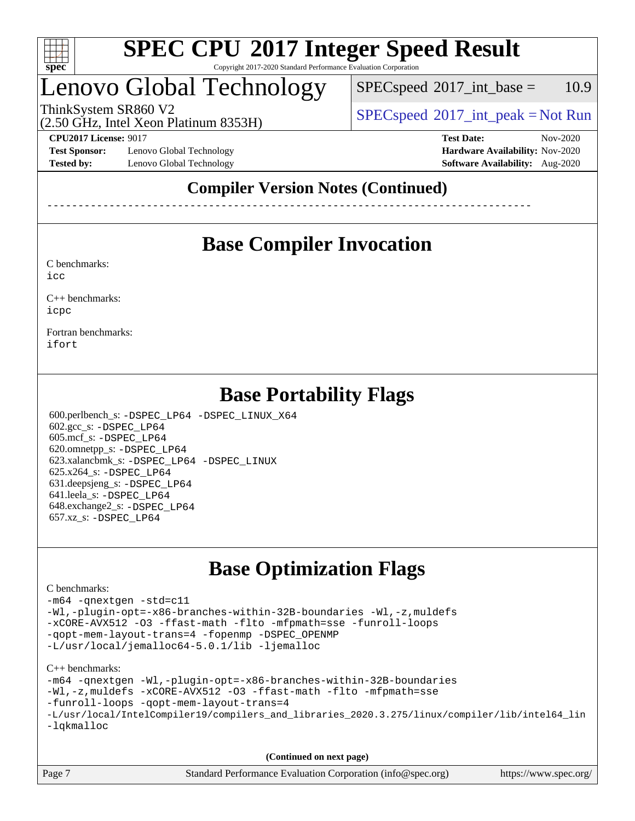

------------------------------------------------------------------------------

# Lenovo Global Technology

 $SPEC speed^{\circ}2017\_int\_base = 10.9$ 

(2.50 GHz, Intel Xeon Platinum 8353H)

ThinkSystem SR860 V2 [SPECspeed](http://www.spec.org/auto/cpu2017/Docs/result-fields.html#SPECspeed2017intpeak)<sup>®</sup>[2017\\_int\\_peak = N](http://www.spec.org/auto/cpu2017/Docs/result-fields.html#SPECspeed2017intpeak)ot Run  $(2.50 \text{ GHz} \text{ Intel } Y_{\text{O}})$ 

**[Test Sponsor:](http://www.spec.org/auto/cpu2017/Docs/result-fields.html#TestSponsor)** Lenovo Global Technology **[Hardware Availability:](http://www.spec.org/auto/cpu2017/Docs/result-fields.html#HardwareAvailability)** Nov-2020 **[Tested by:](http://www.spec.org/auto/cpu2017/Docs/result-fields.html#Testedby)** Lenovo Global Technology **[Software Availability:](http://www.spec.org/auto/cpu2017/Docs/result-fields.html#SoftwareAvailability)** Aug-2020

**[CPU2017 License:](http://www.spec.org/auto/cpu2017/Docs/result-fields.html#CPU2017License)** 9017 **[Test Date:](http://www.spec.org/auto/cpu2017/Docs/result-fields.html#TestDate)** Nov-2020

### **[Compiler Version Notes \(Continued\)](http://www.spec.org/auto/cpu2017/Docs/result-fields.html#CompilerVersionNotes)**

**[Base Compiler Invocation](http://www.spec.org/auto/cpu2017/Docs/result-fields.html#BaseCompilerInvocation)**

[C benchmarks](http://www.spec.org/auto/cpu2017/Docs/result-fields.html#Cbenchmarks):

[icc](http://www.spec.org/cpu2017/results/res2020q4/cpu2017-20201207-24530.flags.html#user_CCbase_intel_icc_66fc1ee009f7361af1fbd72ca7dcefbb700085f36577c54f309893dd4ec40d12360134090235512931783d35fd58c0460139e722d5067c5574d8eaf2b3e37e92)

[C++ benchmarks:](http://www.spec.org/auto/cpu2017/Docs/result-fields.html#CXXbenchmarks) [icpc](http://www.spec.org/cpu2017/results/res2020q4/cpu2017-20201207-24530.flags.html#user_CXXbase_intel_icpc_c510b6838c7f56d33e37e94d029a35b4a7bccf4766a728ee175e80a419847e808290a9b78be685c44ab727ea267ec2f070ec5dc83b407c0218cded6866a35d07)

[Fortran benchmarks](http://www.spec.org/auto/cpu2017/Docs/result-fields.html#Fortranbenchmarks): [ifort](http://www.spec.org/cpu2017/results/res2020q4/cpu2017-20201207-24530.flags.html#user_FCbase_intel_ifort_8111460550e3ca792625aed983ce982f94888b8b503583aa7ba2b8303487b4d8a21a13e7191a45c5fd58ff318f48f9492884d4413fa793fd88dd292cad7027ca)

|  | <b>Base Portability Flags</b> |
|--|-------------------------------|
|  |                               |

 600.perlbench\_s: [-DSPEC\\_LP64](http://www.spec.org/cpu2017/results/res2020q4/cpu2017-20201207-24530.flags.html#b600.perlbench_s_basePORTABILITY_DSPEC_LP64) [-DSPEC\\_LINUX\\_X64](http://www.spec.org/cpu2017/results/res2020q4/cpu2017-20201207-24530.flags.html#b600.perlbench_s_baseCPORTABILITY_DSPEC_LINUX_X64) 602.gcc\_s: [-DSPEC\\_LP64](http://www.spec.org/cpu2017/results/res2020q4/cpu2017-20201207-24530.flags.html#suite_basePORTABILITY602_gcc_s_DSPEC_LP64) 605.mcf\_s: [-DSPEC\\_LP64](http://www.spec.org/cpu2017/results/res2020q4/cpu2017-20201207-24530.flags.html#suite_basePORTABILITY605_mcf_s_DSPEC_LP64) 620.omnetpp\_s: [-DSPEC\\_LP64](http://www.spec.org/cpu2017/results/res2020q4/cpu2017-20201207-24530.flags.html#suite_basePORTABILITY620_omnetpp_s_DSPEC_LP64) 623.xalancbmk\_s: [-DSPEC\\_LP64](http://www.spec.org/cpu2017/results/res2020q4/cpu2017-20201207-24530.flags.html#suite_basePORTABILITY623_xalancbmk_s_DSPEC_LP64) [-DSPEC\\_LINUX](http://www.spec.org/cpu2017/results/res2020q4/cpu2017-20201207-24530.flags.html#b623.xalancbmk_s_baseCXXPORTABILITY_DSPEC_LINUX) 625.x264\_s: [-DSPEC\\_LP64](http://www.spec.org/cpu2017/results/res2020q4/cpu2017-20201207-24530.flags.html#suite_basePORTABILITY625_x264_s_DSPEC_LP64) 631.deepsjeng\_s: [-DSPEC\\_LP64](http://www.spec.org/cpu2017/results/res2020q4/cpu2017-20201207-24530.flags.html#suite_basePORTABILITY631_deepsjeng_s_DSPEC_LP64) 641.leela\_s: [-DSPEC\\_LP64](http://www.spec.org/cpu2017/results/res2020q4/cpu2017-20201207-24530.flags.html#suite_basePORTABILITY641_leela_s_DSPEC_LP64) 648.exchange2\_s: [-DSPEC\\_LP64](http://www.spec.org/cpu2017/results/res2020q4/cpu2017-20201207-24530.flags.html#suite_basePORTABILITY648_exchange2_s_DSPEC_LP64) 657.xz\_s: [-DSPEC\\_LP64](http://www.spec.org/cpu2017/results/res2020q4/cpu2017-20201207-24530.flags.html#suite_basePORTABILITY657_xz_s_DSPEC_LP64)

## **[Base Optimization Flags](http://www.spec.org/auto/cpu2017/Docs/result-fields.html#BaseOptimizationFlags)**

### [C benchmarks](http://www.spec.org/auto/cpu2017/Docs/result-fields.html#Cbenchmarks):

```
-m64 -qnextgen -std=c11
-Wl,-plugin-opt=-x86-branches-within-32B-boundaries -Wl,-z,muldefs
-xCORE-AVX512 -O3 -ffast-math -flto -mfpmath=sse -funroll-loops
-qopt-mem-layout-trans=4 -fopenmp -DSPEC_OPENMP
-L/usr/local/jemalloc64-5.0.1/lib -ljemalloc
```
### [C++ benchmarks:](http://www.spec.org/auto/cpu2017/Docs/result-fields.html#CXXbenchmarks)

```
-m64 -qnextgen -Wl,-plugin-opt=-x86-branches-within-32B-boundaries
-Wl,-z,muldefs -xCORE-AVX512 -O3 -ffast-math -flto -mfpmath=sse
-funroll-loops -qopt-mem-layout-trans=4
-L/usr/local/IntelCompiler19/compilers_and_libraries_2020.3.275/linux/compiler/lib/intel64_lin
-lqkmalloc
```
**(Continued on next page)**

| Page 7 | Standard Performance Evaluation Corporation (info@spec.org) | https://www.spec.org/ |
|--------|-------------------------------------------------------------|-----------------------|